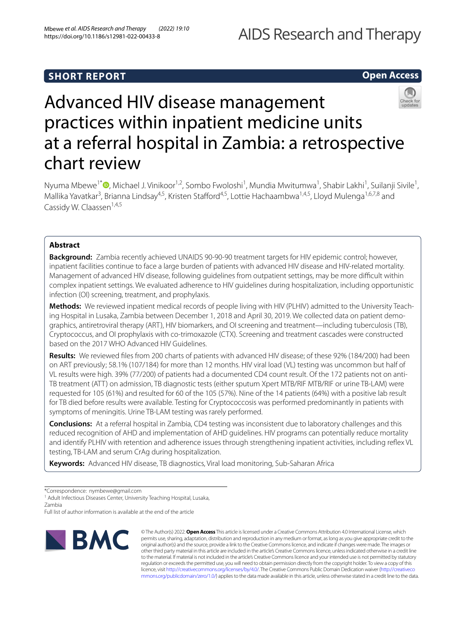# **SHORT REPORT**

# **Open Access**



# Advanced HIV disease management practices within inpatient medicine units at a referral hospital in Zambia: a retrospective chart review

Nyuma Mbewe<sup>1\*</sup><sup>®</sup>[,](http://orcid.org/0000-0002-3309-0538) Michael J. Vinikoor<sup>1,2</sup>, Sombo Fwoloshi<sup>1</sup>, Mundia Mwitumwa<sup>1</sup>, Shabir Lakhi<sup>1</sup>, Suilanji Sivile<sup>1</sup>, Mallika Yavatkar<sup>3</sup>, Brianna Lindsay<sup>4,5</sup>, Kristen Stafford<sup>4,5</sup>, Lottie Hachaambwa<sup>1,4,5</sup>, Lloyd Mulenga<sup>1,6,7,8</sup> and Cassidy W. Claassen<sup>1,4,5</sup>

# **Abstract**

**Background:** Zambia recently achieved UNAIDS 90-90-90 treatment targets for HIV epidemic control; however, inpatient facilities continue to face a large burden of patients with advanced HIV disease and HIV-related mortality. Management of advanced HIV disease, following guidelines from outpatient settings, may be more difficult within complex inpatient settings. We evaluated adherence to HIV guidelines during hospitalization, including opportunistic infection (OI) screening, treatment, and prophylaxis.

**Methods:** We reviewed inpatient medical records of people living with HIV (PLHIV) admitted to the University Teaching Hospital in Lusaka, Zambia between December 1, 2018 and April 30, 2019. We collected data on patient demographics, antiretroviral therapy (ART), HIV biomarkers, and OI screening and treatment—including tuberculosis (TB), Cryptococcus, and OI prophylaxis with co-trimoxazole (CTX). Screening and treatment cascades were constructed based on the 2017 WHO Advanced HIV Guidelines.

**Results:** We reviewed fles from 200 charts of patients with advanced HIV disease; of these 92% (184/200) had been on ART previously; 58.1% (107/184) for more than 12 months. HIV viral load (VL) testing was uncommon but half of VL results were high. 39% (77/200) of patients had a documented CD4 count result. Of the 172 patients not on anti-TB treatment (ATT) on admission, TB diagnostic tests (either sputum Xpert MTB/RIF MTB/RIF or urine TB-LAM) were requested for 105 (61%) and resulted for 60 of the 105 (57%). Nine of the 14 patients (64%) with a positive lab result for TB died before results were available. Testing for Cryptococcosis was performed predominantly in patients with symptoms of meningitis. Urine TB-LAM testing was rarely performed.

**Conclusions:** At a referral hospital in Zambia, CD4 testing was inconsistent due to laboratory challenges and this reduced recognition of AHD and implementation of AHD guidelines. HIV programs can potentially reduce mortality and identify PLHIV with retention and adherence issues through strengthening inpatient activities, including refex VL testing, TB-LAM and serum CrAg during hospitalization.

**Keywords:** Advanced HIV disease, TB diagnostics, Viral load monitoring, Sub-Saharan Africa

\*Correspondence: nymbewe@gmail.com

<sup>1</sup> Adult Infectious Diseases Center, University Teaching Hospital, Lusaka, Zambia

Full list of author information is available at the end of the article



© The Author(s) 2022. **Open Access** This article is licensed under a Creative Commons Attribution 4.0 International License, which permits use, sharing, adaptation, distribution and reproduction in any medium or format, as long as you give appropriate credit to the original author(s) and the source, provide a link to the Creative Commons licence, and indicate if changes were made. The images or other third party material in this article are included in the article's Creative Commons licence, unless indicated otherwise in a credit line to the material. If material is not included in the article's Creative Commons licence and your intended use is not permitted by statutory regulation or exceeds the permitted use, you will need to obtain permission directly from the copyright holder. To view a copy of this licence, visit [http://creativecommons.org/licenses/by/4.0/.](http://creativecommons.org/licenses/by/4.0/) The Creative Commons Public Domain Dedication waiver ([http://creativeco](http://creativecommons.org/publicdomain/zero/1.0/) [mmons.org/publicdomain/zero/1.0/](http://creativecommons.org/publicdomain/zero/1.0/)) applies to the data made available in this article, unless otherwise stated in a credit line to the data.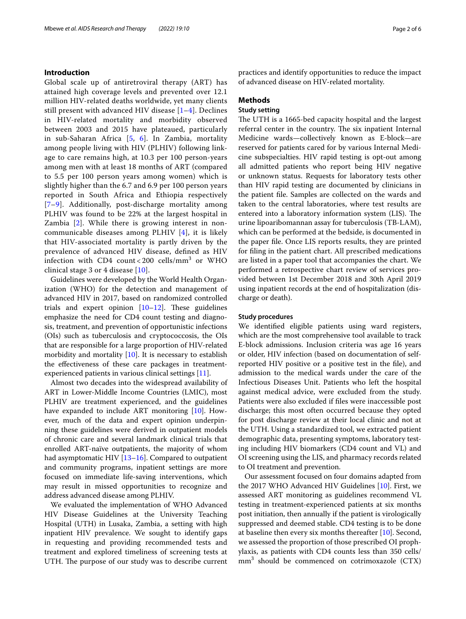# **Introduction**

Global scale up of antiretroviral therapy (ART) has attained high coverage levels and prevented over 12.1 million HIV-related deaths worldwide, yet many clients still present with advanced HIV disease [[1–](#page-5-0)[4\]](#page-5-1). Declines in HIV-related mortality and morbidity observed between 2003 and 2015 have plateaued, particularly in sub-Saharan Africa [[5](#page-5-2), [6\]](#page-5-3). In Zambia, mortality among people living with HIV (PLHIV) following linkage to care remains high, at 10.3 per 100 person-years among men with at least 18 months of ART (compared to 5.5 per 100 person years among women) which is slightly higher than the 6.7 and 6.9 per 100 person years reported in South Africa and Ethiopia respectively [[7](#page-5-4)[–9](#page-5-5)]. Additionally, post-discharge mortality among PLHIV was found to be 22% at the largest hospital in Zambia [[2](#page-5-6)]. While there is growing interest in noncommunicable diseases among PLHIV [[4\]](#page-5-1), it is likely that HIV-associated mortality is partly driven by the prevalence of advanced HIV disease, defned as HIV infection with CD4 count<200 cells/ $\text{mm}^3$  or WHO clinical stage 3 or 4 disease [[10\]](#page-5-7).

Guidelines were developed by the World Health Organization (WHO) for the detection and management of advanced HIV in 2017, based on randomized controlled trials and expert opinion  $[10-12]$  $[10-12]$  $[10-12]$ . These guidelines emphasize the need for CD4 count testing and diagnosis, treatment, and prevention of opportunistic infections (OIs) such as tuberculosis and cryptococcosis, the OIs that are responsible for a large proportion of HIV-related morbidity and mortality  $[10]$ . It is necessary to establish the efectiveness of these care packages in treatmentexperienced patients in various clinical settings [\[11](#page-5-9)].

Almost two decades into the widespread availability of ART in Lower-Middle Income Countries (LMIC), most PLHIV are treatment experienced, and the guidelines have expanded to include ART monitoring [[10\]](#page-5-7). However, much of the data and expert opinion underpinning these guidelines were derived in outpatient models of chronic care and several landmark clinical trials that enrolled ART-naïve outpatients, the majority of whom had asymptomatic HIV [\[13–](#page-5-10)[16\]](#page-5-11). Compared to outpatient and community programs, inpatient settings are more focused on immediate life-saving interventions, which may result in missed opportunities to recognize and address advanced disease among PLHIV.

We evaluated the implementation of WHO Advanced HIV Disease Guidelines at the University Teaching Hospital (UTH) in Lusaka, Zambia, a setting with high inpatient HIV prevalence. We sought to identify gaps in requesting and providing recommended tests and treatment and explored timeliness of screening tests at UTH. The purpose of our study was to describe current practices and identify opportunities to reduce the impact of advanced disease on HIV-related mortality.

# **Methods**

# **Study setting**

The UTH is a 1665-bed capacity hospital and the largest referral center in the country. The six inpatient Internal Medicine wards—collectively known as E-block—are reserved for patients cared for by various Internal Medicine subspecialties. HIV rapid testing is opt-out among all admitted patients who report being HIV negative or unknown status. Requests for laboratory tests other than HIV rapid testing are documented by clinicians in the patient fle. Samples are collected on the wards and taken to the central laboratories, where test results are entered into a laboratory information system (LIS). The urine lipoaribomannan assay for tuberculosis (TB-LAM), which can be performed at the bedside, is documented in the paper fle. Once LIS reports results, they are printed for fling in the patient chart. All prescribed medications are listed in a paper tool that accompanies the chart. We performed a retrospective chart review of services provided between 1st December 2018 and 30th April 2019 using inpatient records at the end of hospitalization (discharge or death).

# **Study procedures**

We identifed eligible patients using ward registers, which are the most comprehensive tool available to track E-block admissions. Inclusion criteria was age 16 years or older, HIV infection (based on documentation of selfreported HIV positive or a positive test in the fle), and admission to the medical wards under the care of the Infectious Diseases Unit. Patients who left the hospital against medical advice, were excluded from the study. Patients were also excluded if fles were inaccessible post discharge; this most often occurred because they opted for post discharge review at their local clinic and not at the UTH. Using a standardized tool, we extracted patient demographic data, presenting symptoms, laboratory testing including HIV biomarkers (CD4 count and VL) and OI screening using the LIS, and pharmacy records related to OI treatment and prevention.

Our assessment focused on four domains adapted from the 2017 WHO Advanced HIV Guidelines [\[10](#page-5-7)]. First, we assessed ART monitoring as guidelines recommend VL testing in treatment-experienced patients at six months post initiation, then annually if the patient is virologically suppressed and deemed stable. CD4 testing is to be done at baseline then every six months thereafter [[10\]](#page-5-7). Second, we assessed the proportion of those prescribed OI prophylaxis, as patients with CD4 counts less than 350 cells/  $mm<sup>3</sup>$  should be commenced on cotrimoxazole (CTX)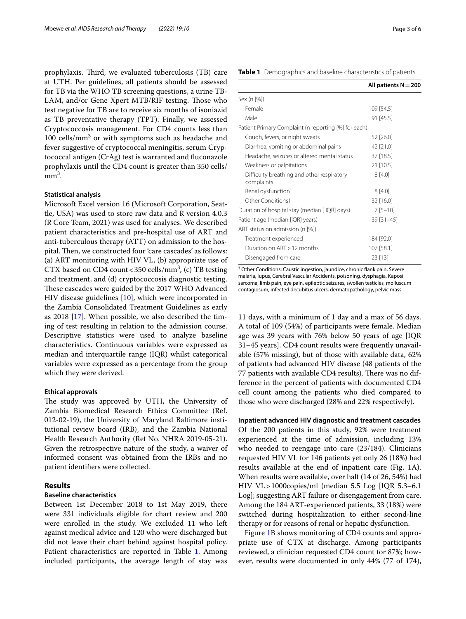prophylaxis. Third, we evaluated tuberculosis (TB) care at UTH. Per guidelines, all patients should be assessed for TB via the WHO TB screening questions, a urine TB-LAM, and/or Gene Xpert MTB/RIF testing. Those who test negative for TB are to receive six months of isoniazid as TB preventative therapy (TPT). Finally, we assessed Cryptococcosis management. For CD4 counts less than 100 cells/mm<sup>3</sup> or with symptoms such as headache and fever suggestive of cryptococcal meningitis, serum Cryptococcal antigen (CrAg) test is warranted and fuconazole prophylaxis until the CD4 count is greater than 350 cells/  $mm<sup>3</sup>$ .

# **Statistical analysis**

Microsoft Excel version 16 (Microsoft Corporation, Seattle, USA) was used to store raw data and R version 4.0.3 (R Core Team, 2021) was used for analyses. We described patient characteristics and pre-hospital use of ART and anti-tuberculous therapy (ATT) on admission to the hospital. Then, we constructed four 'care cascades' as follows: (a) ART monitoring with HIV VL, (b) appropriate use of CTX based on CD4 count <  $350$  cells/mm<sup>3</sup>, (c) TB testing and treatment, and (d) cryptococcosis diagnostic testing. These cascades were guided by the 2017 WHO Advanced HIV disease guidelines [[10](#page-5-7)], which were incorporated in the Zambia Consolidated Treatment Guidelines as early as 2018 [\[17](#page-5-12)]. When possible, we also described the timing of test resulting in relation to the admission course. Descriptive statistics were used to analyze baseline characteristics. Continuous variables were expressed as median and interquartile range (IQR) whilst categorical variables were expressed as a percentage from the group which they were derived.

## **Ethical approvals**

The study was approved by UTH, the University of Zambia Biomedical Research Ethics Committee (Ref. 012-02-19), the University of Maryland Baltimore institutional review board (IRB), and the Zambia National Health Research Authority (Ref No. NHRA 2019-05-21). Given the retrospective nature of the study, a waiver of informed consent was obtained from the IRBs and no patient identifers were collected.

# **Results**

# **Baseline characteristics**

Between 1st December 2018 to 1st May 2019, there were 331 individuals eligible for chart review and 200 were enrolled in the study. We excluded 11 who left against medical advice and 120 who were discharged but did not leave their chart behind against hospital policy. Patient characteristics are reported in Table [1.](#page-2-0) Among included participants, the average length of stay was

<span id="page-2-0"></span>

|  |  |  |  |  |  | Table 1 Demographics and baseline characteristics of patients |  |  |
|--|--|--|--|--|--|---------------------------------------------------------------|--|--|
|--|--|--|--|--|--|---------------------------------------------------------------|--|--|

|                                                          | All patients $N = 200$ |
|----------------------------------------------------------|------------------------|
| Sex (n [%])                                              |                        |
| Female                                                   | 109 [54.5]             |
| Male                                                     | 91 [45.5]              |
| Patient Primary Complaint (n reporting [%] for each)     |                        |
| Cough, fevers, or night sweats                           | 52 [26.0]              |
| Diarrhea, vomiting or abdominal pains                    | 42 [21.0]              |
| Headache, seizures or altered mental status              | 37 [18.5]              |
| Weakness or palpitations                                 | 21 [10.5]              |
| Difficulty breathing and other respiratory<br>complaints | 8[4.0]                 |
| Renal dysfunction                                        | 8[4.0]                 |
| Other Conditionst                                        | $32$ [16.0]            |
| Duration of hospital stay (median [IQR] days)            | $7[5 - 10]$            |
| Patient age (median [IQR] years)                         | 39 [31-45]             |
| ART status on admission (n [%])                          |                        |
| Treatment experienced                                    | 184 [92.0]             |
| Duration on ART > 12 months                              | 107 [58.1]             |
| Disengaged from care                                     | 23 [13]                |

† Other Conditions: Caustic ingestion, jaundice, chronic fank pain, Severe malaria, lupus, Cerebral Vascular Accidents, poisoning, dysphagia, Kaposi sarcoma, limb pain, eye pain, epileptic seizures, swollen testicles, molluscum contagiosum, infected decubitus ulcers, dermatopathology, pelvic mass

11 days, with a minimum of 1 day and a max of 56 days. A total of 109 (54%) of participants were female. Median age was 39 years with 76% below 50 years of age [IQR 31–45 years]. CD4 count results were frequently unavailable (57% missing), but of those with available data, 62% of patients had advanced HIV disease (48 patients of the 77 patients with available CD4 results). There was no difference in the percent of patients with documented CD4 cell count among the patients who died compared to those who were discharged (28% and 22% respectively).

#### **Inpatient advanced HIV diagnostic and treatment cascades**

Of the 200 patients in this study, 92% were treatment experienced at the time of admission, including 13% who needed to reengage into care (23/184). Clinicians requested HIV VL for 146 patients yet only 26 (18%) had results available at the end of inpatient care (Fig. [1](#page-3-0)A). When results were available, over half (14 of 26, 54%) had HIV VL>1000copies/ml (median 5.5 Log [IQR 5.3–6.1 Log]; suggesting ART failure or disengagement from care. Among the 184 ART-experienced patients, 33 (18%) were switched during hospitalization to either second-line therapy or for reasons of renal or hepatic dysfunction.

Figure [1](#page-3-0)B shows monitoring of CD4 counts and appropriate use of CTX at discharge. Among participants reviewed, a clinician requested CD4 count for 87%; however, results were documented in only 44% (77 of 174),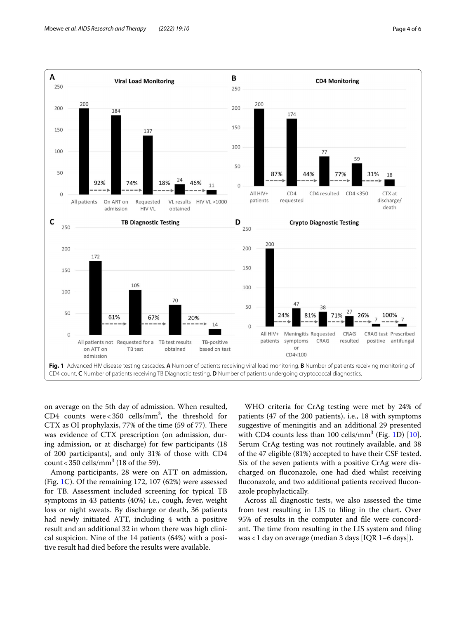

<span id="page-3-0"></span>on average on the 5th day of admission. When resulted, CD4 counts were <  $350$  cells/mm<sup>3</sup>, the threshold for CTX as OI prophylaxis, 77% of the time (59 of 77). There was evidence of CTX prescription (on admission, during admission, or at discharge) for few participants (18 of 200 participants), and only 31% of those with CD4 count <  $350$  cells/mm<sup>3</sup> (18 of the 59).

Among participants, 28 were on ATT on admission, (Fig. [1](#page-3-0)C). Of the remaining 172, 107 (62%) were assessed for TB. Assessment included screening for typical TB symptoms in 43 patients (40%) i.e., cough, fever, weight loss or night sweats. By discharge or death, 36 patients had newly initiated ATT, including 4 with a positive result and an additional 32 in whom there was high clinical suspicion. Nine of the 14 patients (64%) with a positive result had died before the results were available.

WHO criteria for CrAg testing were met by 24% of patients (47 of the 200 patients), i.e., 18 with symptoms suggestive of meningitis and an additional 29 presented with CD4 counts less than  $100$  cells/mm<sup>3</sup> (Fig. [1D](#page-3-0)) [\[10](#page-5-7)]. Serum CrAg testing was not routinely available, and 38 of the 47 eligible (81%) accepted to have their CSF tested. Six of the seven patients with a positive CrAg were discharged on fuconazole, one had died whilst receiving fuconazole, and two additional patients received fuconazole prophylactically.

Across all diagnostic tests, we also assessed the time from test resulting in LIS to fling in the chart. Over 95% of results in the computer and fle were concordant. The time from resulting in the LIS system and filing was<1 day on average (median 3 days [IQR 1–6 days]).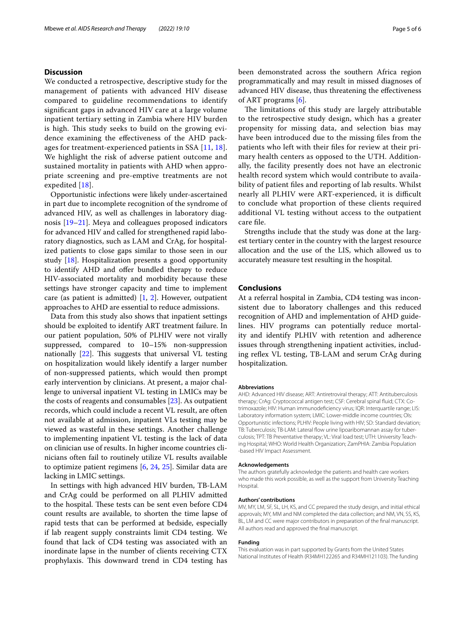# **Discussion**

We conducted a retrospective, descriptive study for the management of patients with advanced HIV disease compared to guideline recommendations to identify signifcant gaps in advanced HIV care at a large volume inpatient tertiary setting in Zambia where HIV burden is high. This study seeks to build on the growing evidence examining the efectiveness of the AHD packages for treatment-experienced patients in SSA [[11](#page-5-9), [18\]](#page-5-13). We highlight the risk of adverse patient outcome and sustained mortality in patients with AHD when appropriate screening and pre-emptive treatments are not expedited [[18\]](#page-5-13).

Opportunistic infections were likely under-ascertained in part due to incomplete recognition of the syndrome of advanced HIV, as well as challenges in laboratory diagnosis [\[19–](#page-5-14)[21\]](#page-5-15). Meya and colleagues proposed indicators for advanced HIV and called for strengthened rapid laboratory diagnostics, such as LAM and CrAg, for hospitalized patients to close gaps similar to those seen in our study [[18](#page-5-13)]. Hospitalization presents a good opportunity to identify AHD and offer bundled therapy to reduce HIV-associated mortality and morbidity because these settings have stronger capacity and time to implement care (as patient is admitted)  $[1, 2]$  $[1, 2]$  $[1, 2]$  $[1, 2]$  $[1, 2]$ . However, outpatient approaches to AHD are essential to reduce admissions.

Data from this study also shows that inpatient settings should be exploited to identify ART treatment failure. In our patient population, 50% of PLHIV were not virally suppressed, compared to 10–15% non-suppression nationally  $[22]$  $[22]$  $[22]$ . This suggests that universal VL testing on hospitalization would likely identify a larger number of non-suppressed patients, which would then prompt early intervention by clinicians. At present, a major challenge to universal inpatient VL testing in LMICs may be the costs of reagents and consumables [[23](#page-5-17)]. As outpatient records, which could include a recent VL result, are often not available at admission, inpatient VLs testing may be viewed as wasteful in these settings. Another challenge to implementing inpatient VL testing is the lack of data on clinician use of results. In higher income countries clinicians often fail to routinely utilize VL results available to optimize patient regimens [\[6](#page-5-3), [24](#page-5-18), [25](#page-5-19)]. Similar data are lacking in LMIC settings.

In settings with high advanced HIV burden, TB-LAM and CrAg could be performed on all PLHIV admitted to the hospital. These tests can be sent even before CD4 count results are available, to shorten the time lapse of rapid tests that can be performed at bedside, especially if lab reagent supply constraints limit CD4 testing. We found that lack of CD4 testing was associated with an inordinate lapse in the number of clients receiving CTX prophylaxis. This downward trend in CD4 testing has been demonstrated across the southern Africa region programmatically and may result in missed diagnoses of advanced HIV disease, thus threatening the efectiveness of ART programs [\[6](#page-5-3)].

The limitations of this study are largely attributable to the retrospective study design, which has a greater propensity for missing data, and selection bias may have been introduced due to the missing fles from the patients who left with their fles for review at their primary health centers as opposed to the UTH. Additionally, the facility presently does not have an electronic health record system which would contribute to availability of patient fles and reporting of lab results. Whilst nearly all PLHIV were ART-experienced, it is difficult to conclude what proportion of these clients required additional VL testing without access to the outpatient care fle.

Strengths include that the study was done at the largest tertiary center in the country with the largest resource allocation and the use of the LIS, which allowed us to accurately measure test resulting in the hospital.

# **Conclusions**

At a referral hospital in Zambia, CD4 testing was inconsistent due to laboratory challenges and this reduced recognition of AHD and implementation of AHD guidelines. HIV programs can potentially reduce mortality and identify PLHIV with retention and adherence issues through strengthening inpatient activities, including reflex VL testing, TB-LAM and serum CrAg during hospitalization.

#### **Abbreviations**

AHD: Advanced HIV disease; ART: Antiretroviral therapy; ATT: Antituberculosis therapy; CrAg: Cryptococcal antigen test; CSF: Cerebral spinal fuid; CTX: Cotrimoxazole; HIV: Human immunodefciency virus; IQR: Interquartile range; LIS: Laboratory information system; LMIC: Lower-middle income countries; OIs: Opportunistic infections; PLHIV: People living with HIV; SD: Standard deviation; TB: Tuberculosis; TB-LAM: Lateral flow urine lipoaribomannan assay for tuberculosis; TPT: TB Preventative therapy; VL: Viral load test; UTH: University Teaching Hospital; WHO: World Health Organization; ZamPHIA: Zambia Population -based HIV Impact Assessment.

#### **Acknowledgements**

The authors gratefully acknowledge the patients and health care workers who made this work possible, as well as the support from University Teaching Hospital.

#### **Authors' contributions**

MV, MY, LM, SF, SL, LH, KS, and CC prepared the study design, and initial ethical approvals; MY, MM and NM completed the data collection; and NM, VN, SS, KS, BL, LM and CC were major contributors in preparation of the fnal manuscript. All authors read and approved the fnal manuscript.

#### **Funding**

This evaluation was in part supported by Grants from the United States National Institutes of Health (R34MH122265 and R34MH121103). The funding